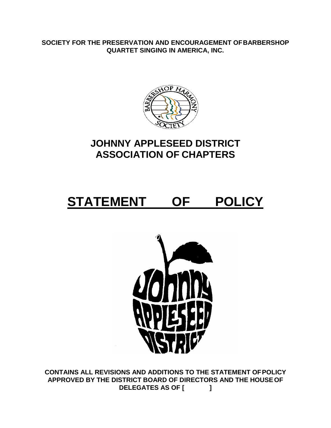**SOCIETY FOR THE PRESERVATION AND ENCOURAGEMENT OFBARBERSHOP QUARTET SINGING IN AMERICA, INC.**



# **JOHNNY APPLESEED DISTRICT ASSOCIATION OF CHAPTERS**

# **STATEMENT OF POLICY**



**CONTAINS ALL REVISIONS AND ADDITIONS TO THE STATEMENT OFPOLICY APPROVED BY THE DISTRICT BOARD OF DIRECTORS AND THE HOUSEOF DELEGATES AS OF [ ]**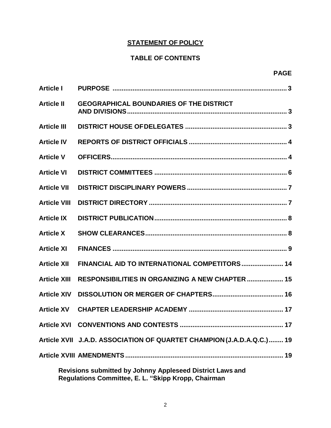# **STATEMENT OF POLICY**

# **TABLE OF CONTENTS**

| <b>Article I</b>                                          |                                                                        |  |
|-----------------------------------------------------------|------------------------------------------------------------------------|--|
| <b>Article II</b>                                         | <b>GEOGRAPHICAL BOUNDARIES OF THE DISTRICT</b>                         |  |
| <b>Article III</b>                                        |                                                                        |  |
| <b>Article IV</b>                                         |                                                                        |  |
| <b>Article V</b>                                          |                                                                        |  |
| <b>Article VI</b>                                         |                                                                        |  |
| <b>Article VII</b>                                        |                                                                        |  |
| <b>Article VIII</b>                                       |                                                                        |  |
| <b>Article IX</b>                                         |                                                                        |  |
| <b>Article X</b>                                          |                                                                        |  |
| <b>Article XI</b>                                         |                                                                        |  |
| <b>Article XII</b>                                        | FINANCIAL AID TO INTERNATIONAL COMPETITORS  14                         |  |
| <b>Article XIII</b>                                       | RESPONSIBILITIES IN ORGANIZING A NEW CHAPTER  15                       |  |
| <b>Article XIV</b>                                        |                                                                        |  |
| <b>Article XV</b>                                         |                                                                        |  |
|                                                           |                                                                        |  |
|                                                           | Article XVII J.A.D. ASSOCIATION OF QUARTET CHAMPION (J.A.D.A.Q.C.)  19 |  |
|                                                           | 19                                                                     |  |
| Revisions submitted by Johnny Appleseed District Laws and |                                                                        |  |

**Regulations Committee, E. L. "Skipp Kropp, Chairman**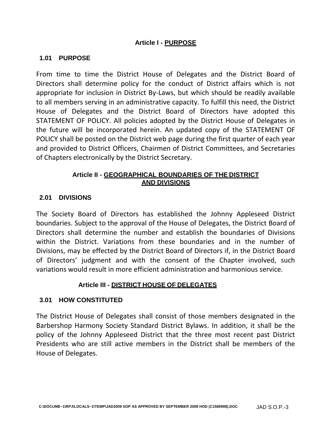#### **Article I - PURPOSE**

#### **1.01 PURPOSE**

From time to time the District House of Delegates and the District Board of Directors shall determine policy for the conduct of District affairs which is not appropriate for inclusion in District By-Laws, but which should be readily available to all members serving in an administrative capacity. To fulfill this need, the District House of Delegates and the District Board of Directors have adopted this STATEMENT OF POLICY. All policies adopted by the District House of Delegates in the future will be incorporated herein. An updated copy of the STATEMENT OF POLICY shall be posted on the District web page during the first quarter of each year and provided to District Officers, Chairmen of District Committees, and Secretaries of Chapters electronically by the District Secretary.

#### **Article II - GEOGRAPHICAL BOUNDARIES OF THE DISTRICT AND DIVISIONS**

#### **2.01 DIVISIONS**

The Society Board of Directors has established the Johnny Appleseed District boundaries. Subject to the approval of the House of Delegates, the District Board of Directors shall determine the number and establish the boundaries of Divisions within the District. Variations from these boundaries and in the number of Divisions, may be effected by the District Board of Directors if, in the District Board of Directors' judgment and with the consent of the Chapter involved, such variations would result in more efficient administration and harmonious service.

#### **Article III - DISTRICT HOUSE OF DELEGATES**

#### **3.01 HOW CONSTITUTED**

The District House of Delegates shall consist of those members designated in the Barbershop Harmony Society Standard District Bylaws. In addition, it shall be the policy of the Johnny Appleseed District that the three most recent past District Presidents who are still active members in the District shall be members of the House of Delegates.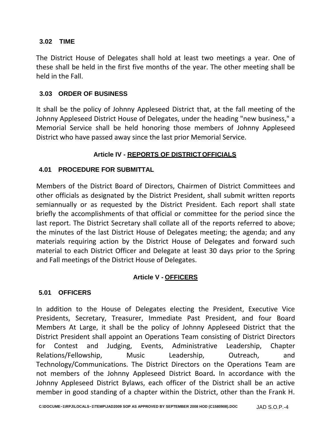#### **3.02 TIME**

The District House of Delegates shall hold at least two meetings a year. One of these shall be held in the first five months of the year. The other meeting shall be held in the Fall.

# **3.03 ORDER OF BUSINESS**

It shall be the policy of Johnny Appleseed District that, at the fall meeting of the Johnny Appleseed District House of Delegates, under the heading "new business," a Memorial Service shall be held honoring those members of Johnny Appleseed District who have passed away since the last prior Memorial Service.

# **Article IV - REPORTS OF DISTRICTOFFICIALS**

# **4.01 PROCEDURE FOR SUBMITTAL**

Members of the District Board of Directors, Chairmen of District Committees and other officials as designated by the District President, shall submit written reports semiannually or as requested by the District President. Each report shall state briefly the accomplishments of that official or committee for the period since the last report. The District Secretary shall collate all of the reports referred to above; the minutes of the last District House of Delegates meeting; the agenda; and any materials requiring action by the District House of Delegates and forward such material to each District Officer and Delegate at least 30 days prior to the Spring and Fall meetings of the District House of Delegates.

# **Article V - OFFICERS**

# **5.01 OFFICERS**

In addition to the House of Delegates electing the President, Executive Vice Presidents, Secretary, Treasurer, Immediate Past President, and four Board Members At Large, it shall be the policy of Johnny Appleseed District that the District President shall appoint an Operations Team consisting of District Directors for Contest and Judging, Events, Administrative Leadership, Chapter Relations/Fellowship, Music Leadership, Outreach, and Technology/Communications. The District Directors on the Operations Team are not members of the Johnny Appleseed District Board**.** In accordance with the Johnny Appleseed District Bylaws, each officer of the District shall be an active member in good standing of a chapter within the District, other than the Frank H.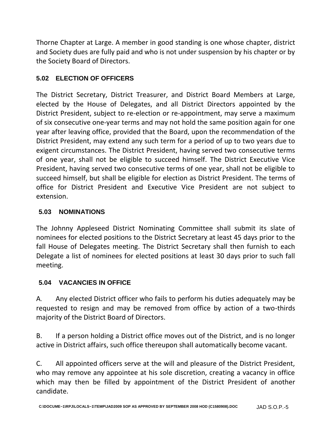Thorne Chapter at Large. A member in good standing is one whose chapter, district and Society dues are fully paid and who is not under suspension by his chapter or by the Society Board of Directors.

# **5.02 ELECTION OF OFFICERS**

The District Secretary, District Treasurer, and District Board Members at Large, elected by the House of Delegates, and all District Directors appointed by the District President, subject to re-election or re-appointment, may serve a maximum of six consecutive one-year terms and may not hold the same position again for one year after leaving office, provided that the Board, upon the recommendation of the District President, may extend any such term for a period of up to two years due to exigent circumstances. The District President, having served two consecutive terms of one year, shall not be eligible to succeed himself. The District Executive Vice President, having served two consecutive terms of one year, shall not be eligible to succeed himself, but shall be eligible for election as District President. The terms of office for District President and Executive Vice President are not subject to extension.

# **5.03 NOMINATIONS**

The Johnny Appleseed District Nominating Committee shall submit its slate of nominees for elected positions to the District Secretary at least 45 days prior to the fall House of Delegates meeting. The District Secretary shall then furnish to each Delegate a list of nominees for elected positions at least 30 days prior to such fall meeting.

# **5.04 VACANCIES IN OFFICE**

A. Any elected District officer who fails to perform his duties adequately may be requested to resign and may be removed from office by action of a two-thirds majority of the District Board of Directors.

B. If a person holding a District office moves out of the District, and is no longer active in District affairs, such office thereupon shall automatically become vacant.

C. All appointed officers serve at the will and pleasure of the District President, who may remove any appointee at his sole discretion, creating a vacancy in office which may then be filled by appointment of the District President of another candidate.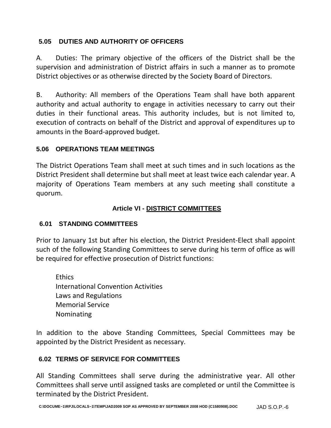# **5.05 DUTIES AND AUTHORITY OF OFFICERS**

A. Duties: The primary objective of the officers of the District shall be the supervision and administration of District affairs in such a manner as to promote District objectives or as otherwise directed by the Society Board of Directors.

B. Authority: All members of the Operations Team shall have both apparent authority and actual authority to engage in activities necessary to carry out their duties in their functional areas. This authority includes, but is not limited to, execution of contracts on behalf of the District and approval of expenditures up to amounts in the Board-approved budget.

# **5.06 OPERATIONS TEAM MEETINGS**

The District Operations Team shall meet at such times and in such locations as the District President shall determine but shall meet at least twice each calendar year. A majority of Operations Team members at any such meeting shall constitute a quorum.

#### **Article VI - DISTRICT COMMITTEES**

# **6.01 STANDING COMMITTEES**

Prior to January 1st but after his election, the District President-Elect shall appoint such of the following Standing Committees to serve during his term of office as will be required for effective prosecution of District functions:

**Ethics** International Convention Activities Laws and Regulations Memorial Service Nominating

In addition to the above Standing Committees, Special Committees may be appointed by the District President as necessary.

# **6.02 TERMS OF SERVICE FOR COMMITTEES**

All Standing Committees shall serve during the administrative year. All other Committees shall serve until assigned tasks are completed or until the Committee is terminated by the District President.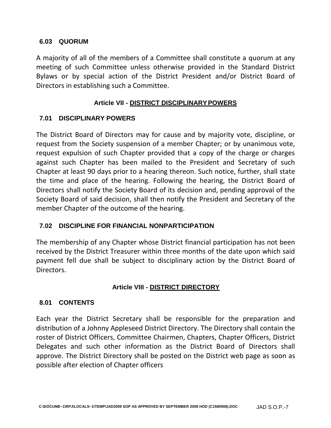#### **6.03 QUORUM**

A majority of all of the members of a Committee shall constitute a quorum at any meeting of such Committee unless otherwise provided in the Standard District Bylaws or by special action of the District President and/or District Board of Directors in establishing such a Committee.

#### **Article VII - DISTRICT DISCIPLINARYPOWERS**

#### **7.01 DISCIPLINARY POWERS**

The District Board of Directors may for cause and by majority vote, discipline, or request from the Society suspension of a member Chapter; or by unanimous vote, request expulsion of such Chapter provided that a copy of the charge or charges against such Chapter has been mailed to the President and Secretary of such Chapter at least 90 days prior to a hearing thereon. Such notice, further, shall state the time and place of the hearing. Following the hearing, the District Board of Directors shall notify the Society Board of its decision and, pending approval of the Society Board of said decision, shall then notify the President and Secretary of the member Chapter of the outcome of the hearing.

# **7.02 DISCIPLINE FOR FINANCIAL NONPARTICIPATION**

The membership of any Chapter whose District financial participation has not been received by the District Treasurer within three months of the date upon which said payment fell due shall be subject to disciplinary action by the District Board of Directors.

# **Article VIII - DISTRICT DIRECTORY**

#### **8.01 CONTENTS**

Each year the District Secretary shall be responsible for the preparation and distribution of a Johnny Appleseed District Directory. The Directory shall contain the roster of District Officers, Committee Chairmen, Chapters, Chapter Officers, District Delegates and such other information as the District Board of Directors shall approve. The District Directory shall be posted on the District web page as soon as possible after election of Chapter officers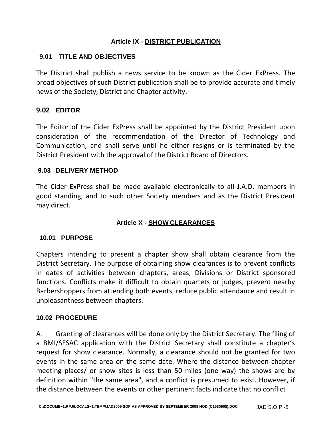#### **Article IX - DISTRICT PUBLICATION**

#### **9.01 TITLE AND OBJECTIVES**

The District shall publish a news service to be known as the Cider ExPress. The broad objectives of such District publication shall be to provide accurate and timely news of the Society, District and Chapter activity.

#### **9.02 EDITOR**

The Editor of the Cider ExPress shall be appointed by the District President upon consideration of the recommendation of the Director of Technology and Communication, and shall serve until he either resigns or is terminated by the District President with the approval of the District Board of Directors.

#### **9.03 DELIVERY METHOD**

The Cider ExPress shall be made available electronically to all J.A.D. members in good standing, and to such other Society members and as the District President may direct.

# **Article X - SHOW CLEARANCES**

#### **10.01 PURPOSE**

Chapters intending to present a chapter show shall obtain clearance from the District Secretary. The purpose of obtaining show clearances is to prevent conflicts in dates of activities between chapters, areas, Divisions or District sponsored functions. Conflicts make it difficult to obtain quartets or judges, prevent nearby Barbershoppers from attending both events, reduce public attendance and result in unpleasantness between chapters.

#### **10.02 PROCEDURE**

A. Granting of clearances will be done only by the District Secretary. The filing of a BMI/SESAC application with the District Secretary shall constitute a chapter's request for show clearance. Normally, a clearance should not be granted for two events in the same area on the same date. Where the distance between chapter meeting places/ or show sites is less than 50 miles (one way) the shows are by definition within "the same area", and a conflict is presumed to exist. However, if the distance between the events or other pertinent facts indicate that no conflict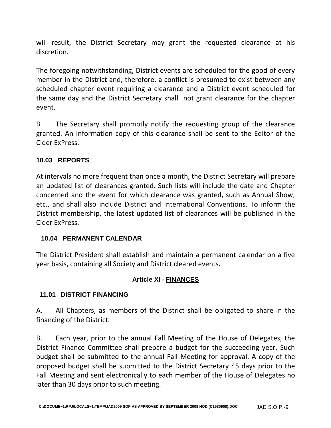will result, the District Secretary may grant the requested clearance at his discretion.

The foregoing notwithstanding, District events are scheduled for the good of every member in the District and, therefore, a conflict is presumed to exist between any scheduled chapter event requiring a clearance and a District event scheduled for the same day and the District Secretary shall not grant clearance for the chapter event.

B. The Secretary shall promptly notify the requesting group of the clearance granted. An information copy of this clearance shall be sent to the Editor of the Cider ExPress.

# **10.03 REPORTS**

At intervals no more frequent than once a month, the District Secretary will prepare an updated list of clearances granted. Such lists will include the date and Chapter concerned and the event for which clearance was granted, such as Annual Show, etc., and shall also include District and International Conventions. To inform the District membership, the latest updated list of clearances will be published in the Cider ExPress.

# **10.04 PERMANENT CALENDAR**

The District President shall establish and maintain a permanent calendar on a five year basis, containing all Society and District cleared events.

# **Article XI - FINANCES**

# **11.01 DISTRICT FINANCING**

A. All Chapters, as members of the District shall be obligated to share in the financing of the District.

B. Each year, prior to the annual Fall Meeting of the House of Delegates, the District Finance Committee shall prepare a budget for the succeeding year. Such budget shall be submitted to the annual Fall Meeting for approval. A copy of the proposed budget shall be submitted to the District Secretary 45 days prior to the Fall Meeting and sent electronically to each member of the House of Delegates no later than 30 days prior to such meeting.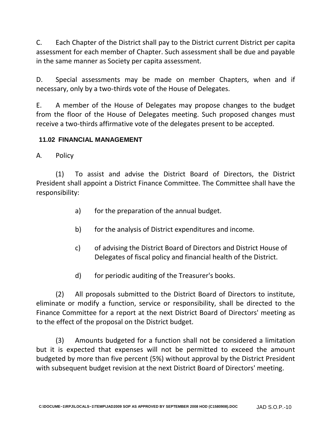C. Each Chapter of the District shall pay to the District current District per capita assessment for each member of Chapter. Such assessment shall be due and payable in the same manner as Society per capita assessment.

D. Special assessments may be made on member Chapters, when and if necessary, only by a two-thirds vote of the House of Delegates.

E. A member of the House of Delegates may propose changes to the budget from the floor of the House of Delegates meeting. Such proposed changes must receive a two-thirds affirmative vote of the delegates present to be accepted.

# **11.02 FINANCIAL MANAGEMENT**

A. Policy

(1) To assist and advise the District Board of Directors, the District President shall appoint a District Finance Committee. The Committee shall have the responsibility:

- a) for the preparation of the annual budget.
- b) for the analysis of District expenditures and income.
- c) of advising the District Board of Directors and District House of Delegates of fiscal policy and financial health of the District.
- d) for periodic auditing of the Treasurer's books.

(2) All proposals submitted to the District Board of Directors to institute, eliminate or modify a function, service or responsibility, shall be directed to the Finance Committee for a report at the next District Board of Directors' meeting as to the effect of the proposal on the District budget.

(3) Amounts budgeted for a function shall not be considered a limitation but it is expected that expenses will not be permitted to exceed the amount budgeted by more than five percent (5%) without approval by the District President with subsequent budget revision at the next District Board of Directors' meeting.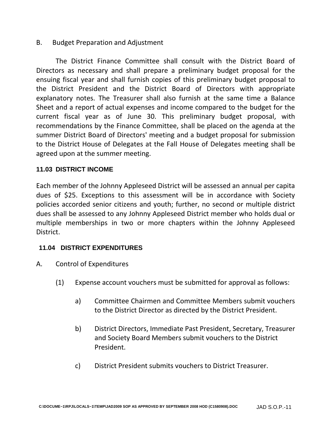#### B. Budget Preparation and Adjustment

The District Finance Committee shall consult with the District Board of Directors as necessary and shall prepare a preliminary budget proposal for the ensuing fiscal year and shall furnish copies of this preliminary budget proposal to the District President and the District Board of Directors with appropriate explanatory notes. The Treasurer shall also furnish at the same time a Balance Sheet and a report of actual expenses and income compared to the budget for the current fiscal year as of June 30. This preliminary budget proposal, with recommendations by the Finance Committee, shall be placed on the agenda at the summer District Board of Directors' meeting and a budget proposal for submission to the District House of Delegates at the Fall House of Delegates meeting shall be agreed upon at the summer meeting.

#### **11.03 DISTRICT INCOME**

Each member of the Johnny Appleseed District will be assessed an annual per capita dues of \$25. Exceptions to this assessment will be in accordance with Society policies accorded senior citizens and youth; further, no second or multiple district dues shall be assessed to any Johnny Appleseed District member who holds dual or multiple memberships in two or more chapters within the Johnny Appleseed District.

#### **11.04 DISTRICT EXPENDITURES**

- A. Control of Expenditures
	- (1) Expense account vouchers must be submitted for approval as follows:
		- a) Committee Chairmen and Committee Members submit vouchers to the District Director as directed by the District President.
		- b) District Directors, Immediate Past President, Secretary, Treasurer and Society Board Members submit vouchers to the District President.
		- c) District President submits vouchers to District Treasurer.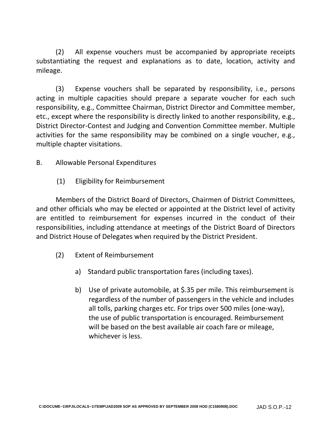(2) All expense vouchers must be accompanied by appropriate receipts substantiating the request and explanations as to date, location, activity and mileage.

(3) Expense vouchers shall be separated by responsibility, i.e., persons acting in multiple capacities should prepare a separate voucher for each such responsibility, e.g., Committee Chairman, District Director and Committee member, etc., except where the responsibility is directly linked to another responsibility, e.g., District Director-Contest and Judging and Convention Committee member. Multiple activities for the same responsibility may be combined on a single voucher, e.g., multiple chapter visitations.

# B. Allowable Personal Expenditures

(1) Eligibility for Reimbursement

Members of the District Board of Directors, Chairmen of District Committees, and other officials who may be elected or appointed at the District level of activity are entitled to reimbursement for expenses incurred in the conduct of their responsibilities, including attendance at meetings of the District Board of Directors and District House of Delegates when required by the District President.

- (2) Extent of Reimbursement
	- a) Standard public transportation fares (including taxes).
	- b) Use of private automobile, at \$.35 per mile. This reimbursement is regardless of the number of passengers in the vehicle and includes all tolls, parking charges etc. For trips over 500 miles (one-way), the use of public transportation is encouraged. Reimbursement will be based on the best available air coach fare or mileage, whichever is less.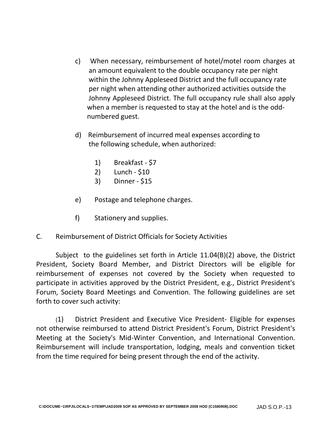- c) When necessary, reimbursement of hotel/motel room charges at an amount equivalent to the double occupancy rate per night within the Johnny Appleseed District and the full occupancy rate per night when attending other authorized activities outside the Johnny Appleseed District. The full occupancy rule shall also apply when a member is requested to stay at the hotel and is the odd numbered guest.
- d) Reimbursement of incurred meal expenses according to the following schedule, when authorized:
	- 1) Breakfast \$7
	- 2) Lunch \$10
	- 3) Dinner \$15
- e) Postage and telephone charges.
- f) Stationery and supplies.
- C. Reimbursement of District Officials for Society Activities

Subject to the guidelines set forth in Article 11.04(B)(2) above, the District President, Society Board Member, and District Directors will be eligible for reimbursement of expenses not covered by the Society when requested to participate in activities approved by the District President, e.g., District President's Forum, Society Board Meetings and Convention. The following guidelines are set forth to cover such activity:

(1) District President and Executive Vice President- Eligible for expenses not otherwise reimbursed to attend District President's Forum, District President's Meeting at the Society's Mid-Winter Convention, and International Convention. Reimbursement will include transportation, lodging, meals and convention ticket from the time required for being present through the end of the activity.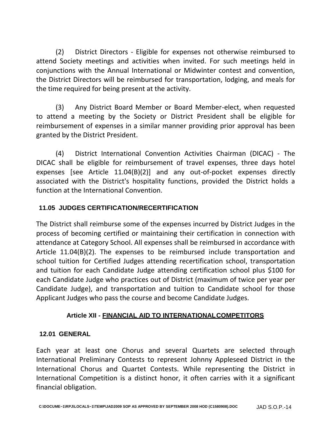(2) District Directors - Eligible for expenses not otherwise reimbursed to attend Society meetings and activities when invited. For such meetings held in conjunctions with the Annual International or Midwinter contest and convention, the District Directors will be reimbursed for transportation, lodging, and meals for the time required for being present at the activity.

(3) Any District Board Member or Board Member-elect, when requested to attend a meeting by the Society or District President shall be eligible for reimbursement of expenses in a similar manner providing prior approval has been granted by the District President.

(4) District International Convention Activities Chairman (DICAC) - The DICAC shall be eligible for reimbursement of travel expenses, three days hotel expenses [see Article 11.04(B)(2)] and any out-of-pocket expenses directly associated with the District's hospitality functions, provided the District holds a function at the International Convention.

# **11.05 JUDGES CERTIFICATION/RECERTIFICATION**

The District shall reimburse some of the expenses incurred by District Judges in the process of becoming certified or maintaining their certification in connection with attendance at Category School. All expenses shall be reimbursed in accordance with Article 11.04(B)(2). The expenses to be reimbursed include transportation and school tuition for Certified Judges attending recertification school, transportation and tuition for each Candidate Judge attending certification school plus \$100 for each Candidate Judge who practices out of District (maximum of twice per year per Candidate Judge), and transportation and tuition to Candidate school for those Applicant Judges who pass the course and become Candidate Judges.

# **Article XII - FINANCIAL AID TO INTERNATIONALCOMPETITORS**

# **12.01 GENERAL**

Each year at least one Chorus and several Quartets are selected through International Preliminary Contests to represent Johnny Appleseed District in the International Chorus and Quartet Contests. While representing the District in International Competition is a distinct honor, it often carries with it a significant financial obligation.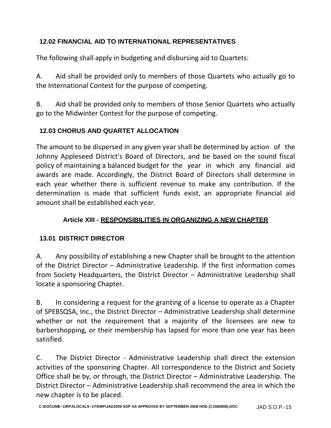# **12.02 FINANCIAL AID TO INTERNATIONAL REPRESENTATIVES**

The following shall apply in budgeting and disbursing aid to Quartets:

A. Aid shall be provided only to members of those Quartets who actually go to the International Contest for the purpose of competing.

B. Aid shall be provided only to members of those Senior Quartets who actually go to the Midwinter Contest for the purpose of competing.

# **12.03 CHORUS AND QUARTET ALLOCATION**

The amount to be dispersed in any given year shall be determined by action of the Johnny Appleseed District's Board of Directors, and be based on the sound fiscal policy of maintaining a balanced budget for the year in which any financial aid awards are made. Accordingly, the District Board of Directors shall determine in each year whether there is sufficient revenue to make any contribution. If the determination is made that sufficient funds exist, an appropriate financial aid amount shall be established each year.

# **Article XIII - RESPONSIBILITIES IN ORGANIZING A NEW CHAPTER**

# **13.01 DISTRICT DIRECTOR**

A. Any possibility of establishing a new Chapter shall be brought to the attention of the District Director – Administrative Leadership. If the first information comes from Society Headquarters, the District Director – Administrative Leadership shall locate a sponsoring Chapter.

B. In considering a request for the granting of a license to operate as a Chapter of SPEBSQSA, Inc., the District Director – Administrative Leadership shall determine whether or not the requirement that a majority of the licensees are new to barbershopping, or their membership has lapsed for more than one year has been satisfied.

C. The District Director - Administrative Leadership shall direct the extension activities of the sponsoring Chapter. All correspondence to the District and Society Office shall be by, or through, the District Director – Administrative Leadership. The District Director – Administrative Leadership shall recommend the area in which the new chapter is to be placed.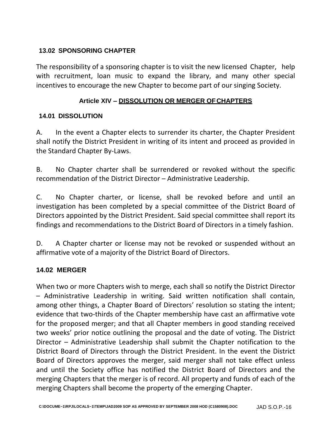#### **13.02 SPONSORING CHAPTER**

The responsibility of a sponsoring chapter is to visit the new licensed Chapter, help with recruitment, loan music to expand the library, and many other special incentives to encourage the new Chapter to become part of our singing Society.

# **Article XIV – DISSOLUTION OR MERGER OFCHAPTERS**

#### **14.01 DISSOLUTION**

A. In the event a Chapter elects to surrender its charter, the Chapter President shall notify the District President in writing of its intent and proceed as provided in the Standard Chapter By-Laws.

B. No Chapter charter shall be surrendered or revoked without the specific recommendation of the District Director – Administrative Leadership.

C. No Chapter charter, or license, shall be revoked before and until an investigation has been completed by a special committee of the District Board of Directors appointed by the District President. Said special committee shall report its findings and recommendations to the District Board of Directors in a timely fashion.

D. A Chapter charter or license may not be revoked or suspended without an affirmative vote of a majority of the District Board of Directors.

# **14.02 MERGER**

When two or more Chapters wish to merge, each shall so notify the District Director – Administrative Leadership in writing. Said written notification shall contain, among other things, a Chapter Board of Directors' resolution so stating the intent; evidence that two-thirds of the Chapter membership have cast an affirmative vote for the proposed merger; and that all Chapter members in good standing received two weeks' prior notice outlining the proposal and the date of voting. The District Director – Administrative Leadership shall submit the Chapter notification to the District Board of Directors through the District President. In the event the District Board of Directors approves the merger, said merger shall not take effect unless and until the Society office has notified the District Board of Directors and the merging Chapters that the merger is of record. All property and funds of each of the merging Chapters shall become the property of the emerging Chapter.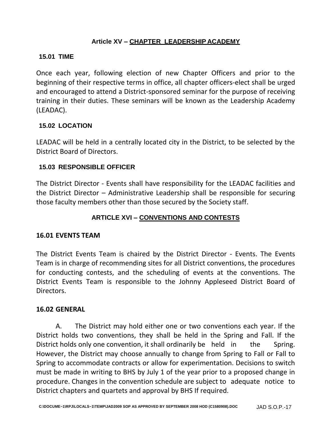# **Article XV – CHAPTER LEADERSHIP ACADEMY**

#### **15.01 TIME**

Once each year, following election of new Chapter Officers and prior to the beginning of their respective terms in office, all chapter officers-elect shall be urged and encouraged to attend a District-sponsored seminar for the purpose of receiving training in their duties. These seminars will be known as the Leadership Academy (LEADAC).

#### **15.02 LOCATION**

LEADAC will be held in a centrally located city in the District, to be selected by the District Board of Directors.

#### **15.03 RESPONSIBLE OFFICER**

The District Director - Events shall have responsibility for the LEADAC facilities and the District Director – Administrative Leadership shall be responsible for securing those faculty members other than those secured by the Society staff.

# **ARTICLE XVI – CONVENTIONS AND CONTESTS**

#### **16.01 EVENTS TEAM**

The District Events Team is chaired by the District Director - Events. The Events Team is in charge of recommending sites for all District conventions, the procedures for conducting contests, and the scheduling of events at the conventions. The District Events Team is responsible to the Johnny Appleseed District Board of Directors.

#### **16.02 GENERAL**

A. The District may hold either one or two conventions each year. If the District holds two conventions, they shall be held in the Spring and Fall. If the District holds only one convention, it shall ordinarily be held in the Spring. However, the District may choose annually to change from Spring to Fall or Fall to Spring to accommodate contracts or allow for experimentation. Decisions to switch must be made in writing to BHS by July 1 of the year prior to a proposed change in procedure. Changes in the convention schedule are subject to adequate notice to District chapters and quartets and approval by BHS If required.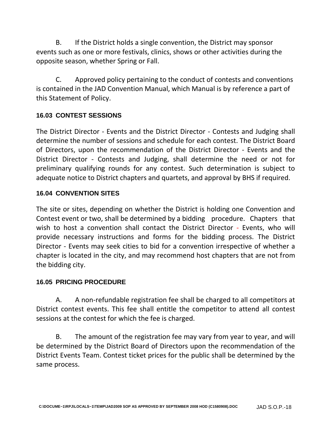B. If the District holds a single convention, the District may sponsor events such as one or more festivals, clinics, shows or other activities during the opposite season, whether Spring or Fall.

C. Approved policy pertaining to the conduct of contests and conventions is contained in the JAD Convention Manual, which Manual is by reference a part of this Statement of Policy.

# **16.03 CONTEST SESSIONS**

The District Director - Events and the District Director - Contests and Judging shall determine the number of sessions and schedule for each contest. The District Board of Directors, upon the recommendation of the District Director - Events and the District Director - Contests and Judging, shall determine the need or not for preliminary qualifying rounds for any contest. Such determination is subject to adequate notice to District chapters and quartets, and approval by BHS if required.

# **16.04 CONVENTION SITES**

The site or sites, depending on whether the District is holding one Convention and Contest event or two, shall be determined by a bidding procedure. Chapters that wish to host a convention shall contact the District Director - Events, who will provide necessary instructions and forms for the bidding process. The District Director - Events may seek cities to bid for a convention irrespective of whether a chapter is located in the city, and may recommend host chapters that are not from the bidding city.

# **16.05 PRICING PROCEDURE**

A. A non-refundable registration fee shall be charged to all competitors at District contest events. This fee shall entitle the competitor to attend all contest sessions at the contest for which the fee is charged.

B. The amount of the registration fee may vary from year to year, and will be determined by the District Board of Directors upon the recommendation of the District Events Team. Contest ticket prices for the public shall be determined by the same process.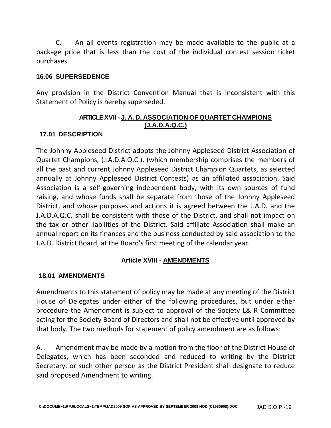C. An all events registration may be made available to the public at a package price that is less than the cost of the individual contest session ticket purchases.

#### **16.06 SUPERSEDENCE**

Any provision in the District Convention Manual that is inconsistent with this Statement of Policy is hereby superseded.

#### **ARTICLEXVII - J. A. D. ASSOCIATION OF QUARTET CHAMPIONS (J.A.D.A.Q.C.)**

#### **17.01 DESCRIPTION**

The Johnny Appleseed District adopts the Johnny Appleseed District Association of Quartet Champions, (J.A.D.A.Q.C.), (which membership comprises the members of all the past and current Johnny Appleseed District Champion Quartets, as selected annually at Johnny Appleseed District Contests) as an affiliated association. Said Association is a self-governing independent body, with its own sources of fund raising, and whose funds shall be separate from those of the Johnny Appleseed District, and whose purposes and actions it is agreed between the J.A.D. and the J.A.D.A.Q.C. shall be consistent with those of the District, and shall not impact on the tax or other liabilities of the District. Said affiliate Association shall make an annual report on its finances and the business conducted by said association to the J.A.D. District Board, at the Board's first meeting of the calendar year.

# **Article XVIII - AMENDMENTS**

# **18.01 AMENDMENTS**

Amendments to this statement of policy may be made at any meeting of the District House of Delegates under either of the following procedures, but under either procedure the Amendment is subject to approval of the Society L& R Committee acting for the Society Board of Directors and shall not be effective until approved by that body. The two methods for statement of policy amendment are as follows:

A. Amendment may be made by a motion from the floor of the District House of Delegates, which has been seconded and reduced to writing by the District Secretary, or such other person as the District President shall designate to reduce said proposed Amendment to writing.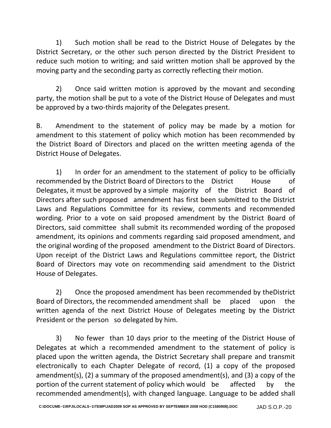1) Such motion shall be read to the District House of Delegates by the District Secretary, or the other such person directed by the District President to reduce such motion to writing; and said written motion shall be approved by the moving party and the seconding party as correctly reflecting their motion.

2) Once said written motion is approved by the movant and seconding party, the motion shall be put to a vote of the District House of Delegates and must be approved by a two-thirds majority of the Delegates present.

B. Amendment to the statement of policy may be made by a motion for amendment to this statement of policy which motion has been recommended by the District Board of Directors and placed on the written meeting agenda of the District House of Delegates.

1) In order for an amendment to the statement of policy to be officially recommended by the District Board of Directors to the District House of Delegates, it must be approved by a simple majority of the District Board of Directors after such proposed amendment has first been submitted to the District Laws and Regulations Committee for its review, comments and recommended wording. Prior to a vote on said proposed amendment by the District Board of Directors, said committee shall submit its recommended wording of the proposed amendment, its opinions and comments regarding said proposed amendment, and the original wording of the proposed amendment to the District Board of Directors. Upon receipt of the District Laws and Regulations committee report, the District Board of Directors may vote on recommending said amendment to the District House of Delegates.

2) Once the proposed amendment has been recommended by theDistrict Board of Directors, the recommended amendment shall be placed upon the written agenda of the next District House of Delegates meeting by the District President or the person so delegated by him.

3) No fewer than 10 days prior to the meeting of the District House of Delegates at which a recommended amendment to the statement of policy is placed upon the written agenda, the District Secretary shall prepare and transmit electronically to each Chapter Delegate of record, (1) a copy of the proposed amendment(s), (2) a summary of the proposed amendment(s), and (3) a copy of the portion of the current statement of policy which would be affected by the recommended amendment(s), with changed language. Language to be added shall